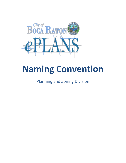

# **Naming Convention**

Planning and Zoning Division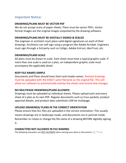# Important Notice:

#### **DRAWINGS/PLANS MUST BE VECTOR PDF**

We do not accept scans of paper sheets. Plans must be vector PDFs. Vector format images are the original images outputted by the drawing software.

## **DRAWINGS/PLANS MUST BE DIGITALLY SIGNED & SEALED**

The engineer or architect must place valid digital signatures on each of their drawings. Architects can self-sign using a program like Adobe Acrobat. Engineers must sign through a 3rd party such as CoSign, Adobe Entrust, IdenTrust, etc.

#### **DRAWINGS/PLANS SCALE**

All plans must be drawn to scale. Each sheet must have a typical graphic scale. If more than one scale is used on a plan, an independent graphic scale must accompany the applicable detail.

#### **KEEP FILE NAMES SIMPLE**

Documents and Plans should have short and simple names. Revised drawings must be uploaded with the EXACT same filename as the original file. This will allow our software to automatically overlay the sheets and record new changes.

## **NO MULTIPAGE DRAWINGS/PLANS ALLOWED**

Drawings must be uploaded as individual sheets. Please upload each and every sheet of a plan as its own PDF. Regular documents such as truss packets, product approval details, and product data submittals CAN be multipage.

## **UPLOAD DRAWINGS/ PLANS IN THE CORRECT ORIENTATION**

Please ensure that ALL files are uploaded in the correct orientation. This usually means drawings are in landscape mode, and documents are in portrait mode. Remember to rotate or change the file name of a drawing BEFORE digitally signing it.

#### **CHARACTERS NOT ALLOWED IN FILE NAMING**

The following characters are NOT ALLOWED when naming your plans or documents:  $\sqrt{$  : \* < > |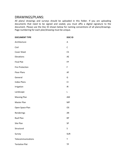# DRAWINGS/PLANS:

All plans/ drawings and surveys should be uploaded in this folder. If you are uploading documents that need to be signed and sealed, you must affix a digital signature to the document. Please use the Doc ID shown below for naming conventions of all plans/drawings. Page numbering for each plan/drawing must be unique.

| <b>DOCUMENT TYPE</b>   | <b>DOCID</b> |
|------------------------|--------------|
| Architecture           | A            |
| Civil                  | $\mathsf C$  |
| <b>Cover Sheet</b>     | CS           |
| Elevations             | AE           |
| <b>Final Plat</b>      | FP           |
| <b>Fire Protection</b> | F            |
| <b>Floor Plans</b>     | AF           |
| General                | G            |
| <b>Index Plans</b>     | <b>CI</b>    |
| Irrigation             | IR           |
| Landscape              | L            |
| <b>Massing Plan</b>    | AM           |
| Master Plan            | <b>MP</b>    |
| Open Space Plan        | <b>OS</b>    |
| Renderings             | AR           |
| Roof Plan              | <b>RP</b>    |
| Site Plan              | SP           |
| Structural             | S            |
| Survey                 | <b>SUR</b>   |
| Telecommunications     | $\mathsf T$  |
| <b>Tentative Plat</b>  | <b>TP</b>    |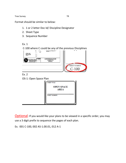Tree Survey **TR** 

Format should be similar to below:

- 1. 1 or 2 letter Doc Id/ Discipline Designator
- 2. Sheet Type
- 3. Sequence Number
- Ex. 1



Optional: If you would like your plans to be viewed in a specific order, you may use a 3 digit prefix to sequence the pages of each plan.

Ex. 001 C-100, 002 AS-1.00.01, 012 A-1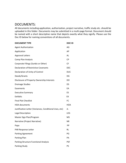# DOCUMENTS:

All documents including application, authorization, project narrative, traffic study etc. should be uploaded in this folder. Documents may be submitted in a multi-page format. Document should be named with a short descriptive name that depicts exactly what they signify. Please use the Doc ID below for naming conventions of all documents.

| <b>DOCUMENT TYPE</b>                                    | <b>DOCID</b> |
|---------------------------------------------------------|--------------|
| <b>Agent Authorization</b>                              | AG           |
| Application                                             | АP           |
| <b>Approval Letters</b>                                 | AL           |
| <b>Comp Plan Analysis</b>                               | <b>CP</b>    |
| Corporate Filings (Sunbiz or Other)                     | <b>CF</b>    |
| <b>Declaration of Restrictive Covenants</b>             | <b>DEC</b>   |
| Declaration of Unity of Control                         | <b>DUC</b>   |
| Deeds/Grants                                            | DG           |
| Disclosure of Property Ownership Interests              | DO           |
| <b>Drainage Studies</b>                                 | DS           |
| Easements                                               | EA           |
| <b>Executive Summary</b>                                | ES           |
| <b>Exhibits</b>                                         | EX           |
| <b>Final Plat Checklist</b>                             | FC           |
| <b>HOA</b> documents                                    | HOA          |
| Justification Letter (Variances, Conditional Uses, etc) | JL           |
| <b>Legal Description</b>                                | LEG          |
| Master Sign Plan/Program                                | <b>MS</b>    |
| Narrative (Project Narrative)                           | <b>NR</b>    |
| Papa                                                    | PP           |
| PAR Response Letter                                     | <b>RL</b>    |
| <b>Parking Agreement</b>                                | PG           |
| Parking Plan                                            | PA           |
| Parking Structure Functional Analysis                   | <b>PSF</b>   |
| Parking Study                                           | PS           |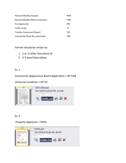| <b>Planned Mobility Analysis</b>          | <b>PMA</b> |
|-------------------------------------------|------------|
| <b>Planned Mobility Matrix Evaluation</b> | <b>PME</b> |
| Pre-Application                           | <b>PRF</b> |
| <b>Traffic Study</b>                      | ΤS         |
| <b>Transfer Assessment Report</b>         | <b>TAF</b> |
| Transmittal Sheet (Re-submittals)         | TRN        |

Format should be similar to:

- 1. 2 or 3 Letter Document Id
- 2. 2-3 word Description

## Ex. 1

Community Appearance Board Application = AP CAB

Universal Condition = AP UC



Ex. 2

Property Appraiser = PAPA